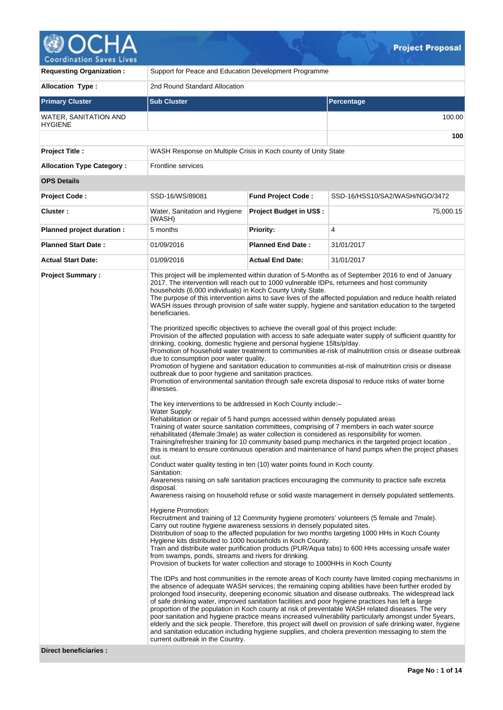

| <b>Requesting Organization:</b>                | Support for Peace and Education Development Programme                                                                                                                                                                                                                                                                                                                                                                                                                                                                                                                                                                                                                                                                                                                                                                                                                                                                                                                                                                                                                             |                                |                                                                                                                                                                                                                                                                                                                                                                                                                                                                                                                                                                                                                                                                                                                                                                                                                                                                                                                                                                                                                                                                                                                                                                                                                                                                                                                                                                                                                                                                                                                                                                                                                                                                                                                                                                                                                                                                                                                                                                                                                                                                                                                                                                                                                                                                                                                                        |  |  |  |  |  |
|------------------------------------------------|-----------------------------------------------------------------------------------------------------------------------------------------------------------------------------------------------------------------------------------------------------------------------------------------------------------------------------------------------------------------------------------------------------------------------------------------------------------------------------------------------------------------------------------------------------------------------------------------------------------------------------------------------------------------------------------------------------------------------------------------------------------------------------------------------------------------------------------------------------------------------------------------------------------------------------------------------------------------------------------------------------------------------------------------------------------------------------------|--------------------------------|----------------------------------------------------------------------------------------------------------------------------------------------------------------------------------------------------------------------------------------------------------------------------------------------------------------------------------------------------------------------------------------------------------------------------------------------------------------------------------------------------------------------------------------------------------------------------------------------------------------------------------------------------------------------------------------------------------------------------------------------------------------------------------------------------------------------------------------------------------------------------------------------------------------------------------------------------------------------------------------------------------------------------------------------------------------------------------------------------------------------------------------------------------------------------------------------------------------------------------------------------------------------------------------------------------------------------------------------------------------------------------------------------------------------------------------------------------------------------------------------------------------------------------------------------------------------------------------------------------------------------------------------------------------------------------------------------------------------------------------------------------------------------------------------------------------------------------------------------------------------------------------------------------------------------------------------------------------------------------------------------------------------------------------------------------------------------------------------------------------------------------------------------------------------------------------------------------------------------------------------------------------------------------------------------------------------------------------|--|--|--|--|--|
| <b>Allocation Type:</b>                        | 2nd Round Standard Allocation                                                                                                                                                                                                                                                                                                                                                                                                                                                                                                                                                                                                                                                                                                                                                                                                                                                                                                                                                                                                                                                     |                                |                                                                                                                                                                                                                                                                                                                                                                                                                                                                                                                                                                                                                                                                                                                                                                                                                                                                                                                                                                                                                                                                                                                                                                                                                                                                                                                                                                                                                                                                                                                                                                                                                                                                                                                                                                                                                                                                                                                                                                                                                                                                                                                                                                                                                                                                                                                                        |  |  |  |  |  |
| <b>Primary Cluster</b>                         | <b>Sub Cluster</b><br><b>Percentage</b>                                                                                                                                                                                                                                                                                                                                                                                                                                                                                                                                                                                                                                                                                                                                                                                                                                                                                                                                                                                                                                           |                                |                                                                                                                                                                                                                                                                                                                                                                                                                                                                                                                                                                                                                                                                                                                                                                                                                                                                                                                                                                                                                                                                                                                                                                                                                                                                                                                                                                                                                                                                                                                                                                                                                                                                                                                                                                                                                                                                                                                                                                                                                                                                                                                                                                                                                                                                                                                                        |  |  |  |  |  |
| <b>WATER, SANITATION AND</b><br><b>HYGIENE</b> | 100.00                                                                                                                                                                                                                                                                                                                                                                                                                                                                                                                                                                                                                                                                                                                                                                                                                                                                                                                                                                                                                                                                            |                                |                                                                                                                                                                                                                                                                                                                                                                                                                                                                                                                                                                                                                                                                                                                                                                                                                                                                                                                                                                                                                                                                                                                                                                                                                                                                                                                                                                                                                                                                                                                                                                                                                                                                                                                                                                                                                                                                                                                                                                                                                                                                                                                                                                                                                                                                                                                                        |  |  |  |  |  |
|                                                |                                                                                                                                                                                                                                                                                                                                                                                                                                                                                                                                                                                                                                                                                                                                                                                                                                                                                                                                                                                                                                                                                   |                                | 100                                                                                                                                                                                                                                                                                                                                                                                                                                                                                                                                                                                                                                                                                                                                                                                                                                                                                                                                                                                                                                                                                                                                                                                                                                                                                                                                                                                                                                                                                                                                                                                                                                                                                                                                                                                                                                                                                                                                                                                                                                                                                                                                                                                                                                                                                                                                    |  |  |  |  |  |
| Project Title :                                | WASH Response on Multiple Crisis in Koch county of Unity State                                                                                                                                                                                                                                                                                                                                                                                                                                                                                                                                                                                                                                                                                                                                                                                                                                                                                                                                                                                                                    |                                |                                                                                                                                                                                                                                                                                                                                                                                                                                                                                                                                                                                                                                                                                                                                                                                                                                                                                                                                                                                                                                                                                                                                                                                                                                                                                                                                                                                                                                                                                                                                                                                                                                                                                                                                                                                                                                                                                                                                                                                                                                                                                                                                                                                                                                                                                                                                        |  |  |  |  |  |
| <b>Allocation Type Category:</b>               | <b>Frontline services</b>                                                                                                                                                                                                                                                                                                                                                                                                                                                                                                                                                                                                                                                                                                                                                                                                                                                                                                                                                                                                                                                         |                                |                                                                                                                                                                                                                                                                                                                                                                                                                                                                                                                                                                                                                                                                                                                                                                                                                                                                                                                                                                                                                                                                                                                                                                                                                                                                                                                                                                                                                                                                                                                                                                                                                                                                                                                                                                                                                                                                                                                                                                                                                                                                                                                                                                                                                                                                                                                                        |  |  |  |  |  |
| <b>OPS Details</b>                             |                                                                                                                                                                                                                                                                                                                                                                                                                                                                                                                                                                                                                                                                                                                                                                                                                                                                                                                                                                                                                                                                                   |                                |                                                                                                                                                                                                                                                                                                                                                                                                                                                                                                                                                                                                                                                                                                                                                                                                                                                                                                                                                                                                                                                                                                                                                                                                                                                                                                                                                                                                                                                                                                                                                                                                                                                                                                                                                                                                                                                                                                                                                                                                                                                                                                                                                                                                                                                                                                                                        |  |  |  |  |  |
| Project Code:                                  | SSD-16/WS/89081                                                                                                                                                                                                                                                                                                                                                                                                                                                                                                                                                                                                                                                                                                                                                                                                                                                                                                                                                                                                                                                                   | <b>Fund Project Code:</b>      | SSD-16/HSS10/SA2/WASH/NGO/3472                                                                                                                                                                                                                                                                                                                                                                                                                                                                                                                                                                                                                                                                                                                                                                                                                                                                                                                                                                                                                                                                                                                                                                                                                                                                                                                                                                                                                                                                                                                                                                                                                                                                                                                                                                                                                                                                                                                                                                                                                                                                                                                                                                                                                                                                                                         |  |  |  |  |  |
| Cluster:                                       | Water, Sanitation and Hygiene<br>(WASH)                                                                                                                                                                                                                                                                                                                                                                                                                                                                                                                                                                                                                                                                                                                                                                                                                                                                                                                                                                                                                                           | <b>Project Budget in US\$:</b> | 75,000.15                                                                                                                                                                                                                                                                                                                                                                                                                                                                                                                                                                                                                                                                                                                                                                                                                                                                                                                                                                                                                                                                                                                                                                                                                                                                                                                                                                                                                                                                                                                                                                                                                                                                                                                                                                                                                                                                                                                                                                                                                                                                                                                                                                                                                                                                                                                              |  |  |  |  |  |
| Planned project duration :                     | 5 months                                                                                                                                                                                                                                                                                                                                                                                                                                                                                                                                                                                                                                                                                                                                                                                                                                                                                                                                                                                                                                                                          | <b>Priority:</b>               | 4                                                                                                                                                                                                                                                                                                                                                                                                                                                                                                                                                                                                                                                                                                                                                                                                                                                                                                                                                                                                                                                                                                                                                                                                                                                                                                                                                                                                                                                                                                                                                                                                                                                                                                                                                                                                                                                                                                                                                                                                                                                                                                                                                                                                                                                                                                                                      |  |  |  |  |  |
| <b>Planned Start Date:</b>                     | 01/09/2016                                                                                                                                                                                                                                                                                                                                                                                                                                                                                                                                                                                                                                                                                                                                                                                                                                                                                                                                                                                                                                                                        | <b>Planned End Date:</b>       | 31/01/2017                                                                                                                                                                                                                                                                                                                                                                                                                                                                                                                                                                                                                                                                                                                                                                                                                                                                                                                                                                                                                                                                                                                                                                                                                                                                                                                                                                                                                                                                                                                                                                                                                                                                                                                                                                                                                                                                                                                                                                                                                                                                                                                                                                                                                                                                                                                             |  |  |  |  |  |
| <b>Actual Start Date:</b>                      | 01/09/2016                                                                                                                                                                                                                                                                                                                                                                                                                                                                                                                                                                                                                                                                                                                                                                                                                                                                                                                                                                                                                                                                        | <b>Actual End Date:</b>        | 31/01/2017                                                                                                                                                                                                                                                                                                                                                                                                                                                                                                                                                                                                                                                                                                                                                                                                                                                                                                                                                                                                                                                                                                                                                                                                                                                                                                                                                                                                                                                                                                                                                                                                                                                                                                                                                                                                                                                                                                                                                                                                                                                                                                                                                                                                                                                                                                                             |  |  |  |  |  |
| <b>Project Summary:</b>                        | households (6,000 individuals) in Koch County Unity State.<br>beneficiaries.<br>The prioritized specific objectives to achieve the overall goal of this project include:<br>drinking, cooking, domestic hygiene and personal hygiene 15lts/p/day.<br>due to consumption poor water quality.<br>outbreak due to poor hygiene and sanitation practices.<br>illnesses.<br>The key interventions to be addressed in Koch County include:-<br>Water Supply:<br>Rehabilitation or repair of 5 hand pumps accessed within densely populated areas<br>rehabilitated (4female:3male) as water collection is considered as responsibility for women.<br>out.<br>Conduct water quality testing in ten (10) water points found in Koch county.<br>Sanitation:<br>disposal.<br><b>Hygiene Promotion:</b><br>Carry out routine hygiene awareness sessions in densely populated sites.<br>Hygiene kits distributed to 1000 households in Koch County.<br>from swamps, ponds, streams and rivers for drinking.<br>Provision of buckets for water collection and storage to 1000HHs in Koch County |                                | This project will be implemented within duration of 5-Months as of September 2016 to end of January<br>2017. The intervention will reach out to 1000 vulnerable IDPs, returnees and host community<br>The purpose of this intervention aims to save lives of the affected population and reduce health related<br>WASH issues through provision of safe water supply, hygiene and sanitation education to the targeted<br>Provision of the affected population with access to safe adequate water supply of sufficient quantity for<br>Promotion of household water treatment to communities at-risk of malnutrition crisis or disease outbreak<br>Promotion of hygiene and sanitation education to communities at-risk of malnutrition crisis or disease<br>Promotion of environmental sanitation through safe excreta disposal to reduce risks of water borne<br>Training of water source sanitation committees, comprising of 7 members in each water source<br>Training/refresher training for 10 community based pump mechanics in the targeted project location,<br>this is meant to ensure continuous operation and maintenance of hand pumps when the project phases<br>Awareness raising on safe sanitation practices encouraging the community to practice safe excreta<br>Awareness raising on household refuse or solid waste management in densely populated settlements.<br>Recruitment and training of 12 Community hygiene promoters' volunteers (5 female and 7male).<br>Distribution of soap to the affected population for two months targeting 1000 HHs in Koch County<br>Train and distribute water purification products (PUR/Aqua tabs) to 600 HHs accessing unsafe water<br>The IDPs and host communities in the remote areas of Koch county have limited coping mechanisms in<br>the absence of adequate WASH services; the remaining coping abilities have been further eroded by<br>prolonged food insecurity, deepening economic situation and disease outbreaks. The widespread lack<br>of safe drinking water, improved sanitation facilities and poor hygiene practices has left a large<br>proportion of the population in Koch county at risk of preventable WASH related diseases. The very<br>poor sanitation and hygiene practice means increased vulnerability particularly amongst under 5years, |  |  |  |  |  |
|                                                |                                                                                                                                                                                                                                                                                                                                                                                                                                                                                                                                                                                                                                                                                                                                                                                                                                                                                                                                                                                                                                                                                   |                                | elderly and the sick people. Therefore, this project will dwell on provision of safe drinking water, hygiene<br>and sanitation education including hygiene supplies, and cholera prevention messaging to stem the                                                                                                                                                                                                                                                                                                                                                                                                                                                                                                                                                                                                                                                                                                                                                                                                                                                                                                                                                                                                                                                                                                                                                                                                                                                                                                                                                                                                                                                                                                                                                                                                                                                                                                                                                                                                                                                                                                                                                                                                                                                                                                                      |  |  |  |  |  |
| <b>Direct beneficiaries:</b>                   | current outbreak in the Country.                                                                                                                                                                                                                                                                                                                                                                                                                                                                                                                                                                                                                                                                                                                                                                                                                                                                                                                                                                                                                                                  |                                |                                                                                                                                                                                                                                                                                                                                                                                                                                                                                                                                                                                                                                                                                                                                                                                                                                                                                                                                                                                                                                                                                                                                                                                                                                                                                                                                                                                                                                                                                                                                                                                                                                                                                                                                                                                                                                                                                                                                                                                                                                                                                                                                                                                                                                                                                                                                        |  |  |  |  |  |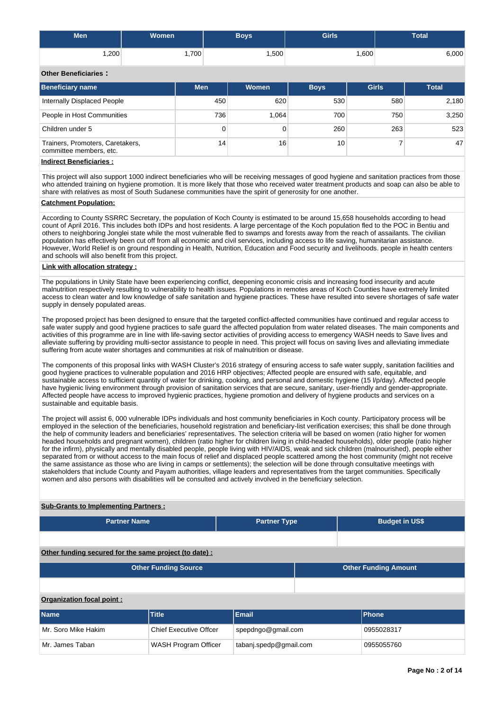| <b>Men</b> | <b>Women</b>      | Boys'             | <b>Girls</b> | <b>Total</b> |
|------------|-------------------|-------------------|--------------|--------------|
| .200       | .700 <sup>1</sup> | .500 <sup>1</sup> | .600         | 6,000        |

## **Other Beneficiaries :**

| <b>Beneficiary name</b>                                     | <b>Men</b>      | <b>Women</b> | <b>Boys</b> | <b>Girls</b> | <b>Total</b> |
|-------------------------------------------------------------|-----------------|--------------|-------------|--------------|--------------|
| Internally Displaced People                                 | 450             | 620          | 530         | 580          | 2,180        |
| People in Host Communities                                  | 736             | 1.064        | 700         | 750          | 3,250        |
| Children under 5                                            | 0               |              | 260         | 263          | 523          |
| Trainers, Promoters, Caretakers,<br>committee members, etc. | 14 <sub>1</sub> | 16           | 10          |              | 47           |
| المتحامية والمستحال فمحوا والمحار                           |                 |              |             |              |              |

## **Indirect Beneficiaries :**

This project will also support 1000 indirect beneficiaries who will be receiving messages of good hygiene and sanitation practices from those who attended training on hygiene promotion. It is more likely that those who received water treatment products and soap can also be able to share with relatives as most of South Sudanese communities have the spirit of generosity for one another.

#### **Catchment Population:**

According to County SSRRC Secretary, the population of Koch County is estimated to be around 15,658 households according to head count of April 2016. This includes both IDPs and host residents. A large percentage of the Koch population fled to the POC in Bentiu and others to neighboring Jonglei state while the most vulnerable fled to swamps and forests away from the reach of assailants. The civilian population has effectively been cut off from all economic and civil services, including access to life saving, humanitarian assistance. However, World Relief is on ground responding in Health, Nutrition, Education and Food security and livelihoods. people in health centers and schools will also benefit from this project.

#### **Link with allocation strategy :**

The populations in Unity State have been experiencing conflict, deepening economic crisis and increasing food insecurity and acute malnutrition respectively resulting to vulnerability to health issues. Populations in remotes areas of Koch Counties have extremely limited access to clean water and low knowledge of safe sanitation and hygiene practices. These have resulted into severe shortages of safe water supply in densely populated areas.

The proposed project has been designed to ensure that the targeted conflict-affected communities have continued and regular access to safe water supply and good hygiene practices to safe guard the affected population from water related diseases. The main components and activities of this programme are in line with life-saving sector activities of providing access to emergency WASH needs to Save lives and alleviate suffering by providing multi-sector assistance to people in need. This project will focus on saving lives and alleviating immediate suffering from acute water shortages and communities at risk of malnutrition or disease.

The components of this proposal links with WASH Cluster's 2016 strategy of ensuring access to safe water supply, sanitation facilities and good hygiene practices to vulnerable population and 2016 HRP objectives; Affected people are ensured with safe, equitable, and sustainable access to sufficient quantity of water for drinking, cooking, and personal and domestic hygiene (15 l/p/day). Affected people have hygienic living environment through provision of sanitation services that are secure, sanitary, user-friendly and gender-appropriate. Affected people have access to improved hygienic practices, hygiene promotion and delivery of hygiene products and services on a sustainable and equitable basis.

The project will assist 6, 000 vulnerable IDPs individuals and host community beneficiaries in Koch county. Participatory process will be employed in the selection of the beneficiaries, household registration and beneficiary-list verification exercises; this shall be done through the help of community leaders and beneficiaries' representatives. The selection criteria will be based on women (ratio higher for women headed households and pregnant women), children (ratio higher for children living in child-headed households), older people (ratio higher for the infirm), physically and mentally disabled people, people living with HIV/AIDS, weak and sick children (malnourished), people either separated from or without access to the main focus of relief and displaced people scattered among the host community (might not receive the same assistance as those who are living in camps or settlements); the selection will be done through consultative meetings with stakeholders that include County and Payam authorities, village leaders and representatives from the target communities. Specifically women and also persons with disabilities will be consulted and actively involved in the beneficiary selection.

#### **Sub-Grants to Implementing Partners :**

| <b>Partner Name</b> | <b>Partner Type</b> | <b>Budget in US\$</b> |
|---------------------|---------------------|-----------------------|
|                     |                     |                       |

## **Other funding secured for the same project (to date) :**

| <b>Other Funding Source</b> | <b>Other Funding Amount</b> |
|-----------------------------|-----------------------------|
|                             |                             |
| Organization focal point:   |                             |

# **Name Title Email Phone** Mr. Soro Mike Hakim Chief Executive Offcer spepdngo@gmail.com 0955028317 Mr. James Taban Nunch Taban WASH Program Officer tabanj.spedp@gmail.com 0955055760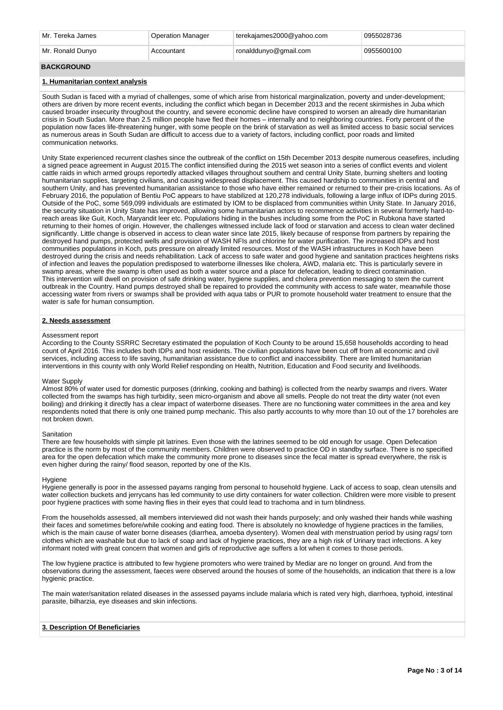| Mr. Tereka James | <b>Operation Manager</b> | terekajames2000@yahoo.com | 0955028736 |
|------------------|--------------------------|---------------------------|------------|
| Mr. Ronald Dunvo | Accountant               | ronalddunyo@gmail.com     | 0955600100 |

## **BACKGROUND**

## **1. Humanitarian context analysis**

South Sudan is faced with a myriad of challenges, some of which arise from historical marginalization, poverty and under-development; others are driven by more recent events, including the conflict which began in December 2013 and the recent skirmishes in Juba which caused broader insecurity throughout the country, and severe economic decline have conspired to worsen an already dire humanitarian crisis in South Sudan. More than 2.5 million people have fled their homes – internally and to neighboring countries. Forty percent of the population now faces life-threatening hunger, with some people on the brink of starvation as well as limited access to basic social services as numerous areas in South Sudan are difficult to access due to a variety of factors, including conflict, poor roads and limited communication networks.

Unity State experienced recurrent clashes since the outbreak of the conflict on 15th December 2013 despite numerous ceasefires, including a signed peace agreement in August 2015.The conflict intensified during the 2015 wet season into a series of conflict events and violent cattle raids in which armed groups reportedly attacked villages throughout southern and central Unity State, burning shelters and looting humanitarian supplies, targeting civilians, and causing widespread displacement. This caused hardship to communities in central and southern Unity, and has prevented humanitarian assistance to those who have either remained or returned to their pre-crisis locations. As of February 2016, the population of Bentiu PoC appears to have stabilized at 120,278 individuals, following a large influx of IDPs during 2015. Outside of the PoC, some 569,099 individuals are estimated by IOM to be displaced from communities within Unity State. In January 2016, the security situation in Unity State has improved, allowing some humanitarian actors to recommence activities in several formerly hard-toreach areas like Guit, Koch, Maryandit leer etc. Populations hiding in the bushes including some from the PoC in Rubkona have started returning to their homes of origin. However, the challenges witnessed include lack of food or starvation and access to clean water declined significantly. Little change is observed in access to clean water since late 2015, likely because of response from partners by repairing the destroyed hand pumps, protected wells and provision of WASH NFIs and chlorine for water purification. The increased IDPs and host communities populations in Koch, puts pressure on already limited resources. Most of the WASH infrastructures in Koch have been destroyed during the crisis and needs rehabilitation. Lack of access to safe water and good hygiene and sanitation practices heightens risks of infection and leaves the population predisposed to waterborne illnesses like cholera, AWD, malaria etc. This is particularly severe in swamp areas, where the swamp is often used as both a water source and a place for defecation, leading to direct contamination. This intervention will dwell on provision of safe drinking water, hygiene supplies, and cholera prevention messaging to stem the current outbreak in the Country. Hand pumps destroyed shall be repaired to provided the community with access to safe water, meanwhile those accessing water from rivers or swamps shall be provided with aqua tabs or PUR to promote household water treatment to ensure that the water is safe for human consumption.

## **2. Needs assessment**

#### Assessment report

According to the County SSRRC Secretary estimated the population of Koch County to be around 15,658 households according to head count of April 2016. This includes both IDPs and host residents. The civilian populations have been cut off from all economic and civil services, including access to life saving, humanitarian assistance due to conflict and inaccessibility. There are limited humanitarian interventions in this county with only World Relief responding on Health, Nutrition, Education and Food security and livelihoods.

#### Water Supply

Almost 80% of water used for domestic purposes (drinking, cooking and bathing) is collected from the nearby swamps and rivers. Water collected from the swamps has high turbidity, seen micro-organism and above all smells. People do not treat the dirty water (not even boiling) and drinking it directly has a clear impact of waterborne diseases. There are no functioning water committees in the area and key respondents noted that there is only one trained pump mechanic. This also partly accounts to why more than 10 out of the 17 boreholes are not broken down.

#### **Sanitation**

There are few households with simple pit latrines. Even those with the latrines seemed to be old enough for usage. Open Defecation practice is the norm by most of the community members. Children were observed to practice OD in standby surface. There is no specified area for the open defecation which make the community more prone to diseases since the fecal matter is spread everywhere, the risk is even higher during the rainy/ flood season, reported by one of the KIs.

#### **Hygiene**

Hygiene generally is poor in the assessed payams ranging from personal to household hygiene. Lack of access to soap, clean utensils and water collection buckets and jerrycans has led community to use dirty containers for water collection. Children were more visible to present poor hygiene practices with some having flies in their eyes that could lead to trachoma and in turn blindness.

From the households assessed, all members interviewed did not wash their hands purposely; and only washed their hands while washing their faces and sometimes before/while cooking and eating food. There is absolutely no knowledge of hygiene practices in the families, which is the main cause of water borne diseases (diarrhea, amoeba dysentery). Women deal with menstruation period by using rags/ torn clothes which are washable but due to lack of soap and lack of hygiene practices, they are a high risk of Urinary tract infections. A key informant noted with great concern that women and girls of reproductive age suffers a lot when it comes to those periods.

The low hygiene practice is attributed to few hygiene promoters who were trained by Mediar are no longer on ground. And from the observations during the assessment, faeces were observed around the houses of some of the households, an indication that there is a low hygienic practice.

The main water/sanitation related diseases in the assessed payams include malaria which is rated very high, diarrhoea, typhoid, intestinal parasite, bilharzia, eye diseases and skin infections.

## **3. Description Of Beneficiaries**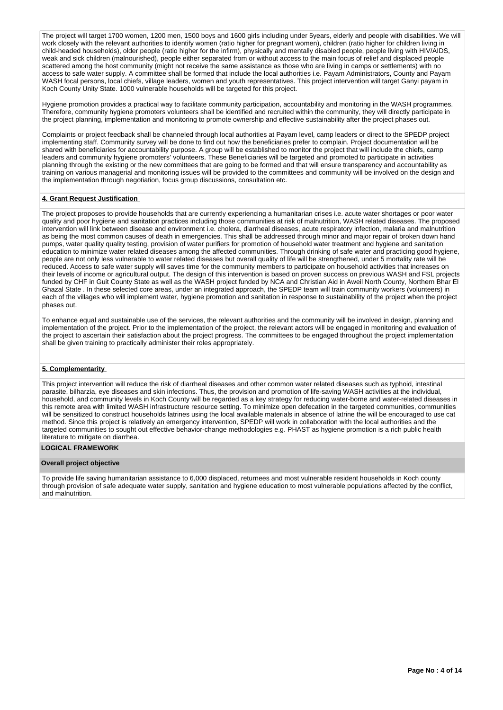The project will target 1700 women, 1200 men, 1500 boys and 1600 girls including under 5years, elderly and people with disabilities. We will work closely with the relevant authorities to identify women (ratio higher for pregnant women), children (ratio higher for children living in child-headed households), older people (ratio higher for the infirm), physically and mentally disabled people, people living with HIV/AIDS, weak and sick children (malnourished), people either separated from or without access to the main focus of relief and displaced people scattered among the host community (might not receive the same assistance as those who are living in camps or settlements) with no access to safe water supply. A committee shall be formed that include the local authorities i.e. Payam Administrators, County and Payam WASH focal persons, local chiefs, village leaders, women and youth representatives. This project intervention will target Ganyi payam in Koch County Unity State. 1000 vulnerable households will be targeted for this project.

Hygiene promotion provides a practical way to facilitate community participation, accountability and monitoring in the WASH programmes. Therefore, community hygiene promoters volunteers shall be identified and recruited within the community, they will directly participate in the project planning, implementation and monitoring to promote ownership and effective sustainability after the project phases out.

Complaints or project feedback shall be channeled through local authorities at Payam level, camp leaders or direct to the SPEDP project implementing staff. Community survey will be done to find out how the beneficiaries prefer to complain. Project documentation will be shared with beneficiaries for accountability purpose. A group will be established to monitor the project that will include the chiefs, camp leaders and community hygiene promoters' volunteers. These Beneficiaries will be targeted and promoted to participate in activities planning through the existing or the new committees that are going to be formed and that will ensure transparency and accountability as training on various managerial and monitoring issues will be provided to the committees and community will be involved on the design and the implementation through negotiation, focus group discussions, consultation etc.

## **4. Grant Request Justification**

The project proposes to provide households that are currently experiencing a humanitarian crises i.e. acute water shortages or poor water quality and poor hygiene and sanitation practices including those communities at risk of malnutrition, WASH related diseases. The proposed intervention will link between disease and environment i.e. cholera, diarrheal diseases, acute respiratory infection, malaria and malnutrition as being the most common causes of death in emergencies. This shall be addressed through minor and major repair of broken down hand pumps, water quality quality testing, provision of water purifiers for promotion of household water treatment and hygiene and sanitation education to minimize water related diseases among the affected communities. Through drinking of safe water and practicing good hygiene, people are not only less vulnerable to water related diseases but overall quality of life will be strengthened, under 5 mortality rate will be reduced. Access to safe water supply will saves time for the community members to participate on household activities that increases on their levels of income or agricultural output. The design of this intervention is based on proven success on previous WASH and FSL projects funded by CHF in Guit County State as well as the WASH project funded by NCA and Christian Aid in Aweil North County, Northern Bhar El Ghazal State . In these selected core areas, under an integrated approach, the SPEDP team will train community workers (volunteers) in each of the villages who will implement water, hygiene promotion and sanitation in response to sustainability of the project when the project phases out.

To enhance equal and sustainable use of the services, the relevant authorities and the community will be involved in design, planning and implementation of the project. Prior to the implementation of the project, the relevant actors will be engaged in monitoring and evaluation of the project to ascertain their satisfaction about the project progress. The committees to be engaged throughout the project implementation shall be given training to practically administer their roles appropriately.

#### **5. Complementarity**

This project intervention will reduce the risk of diarrheal diseases and other common water related diseases such as typhoid, intestinal parasite, bilharzia, eye diseases and skin infections. Thus, the provision and promotion of life-saving WASH activities at the individual, household, and community levels in Koch County will be regarded as a key strategy for reducing water-borne and water-related diseases in this remote area with limited WASH infrastructure resource setting. To minimize open defecation in the targeted communities, communities will be sensitized to construct households latrines using the local available materials in absence of latrine the will be encouraged to use cat method. Since this project is relatively an emergency intervention, SPEDP will work in collaboration with the local authorities and the targeted communities to sought out effective behavior-change methodologies e.g. PHAST as hygiene promotion is a rich public health literature to mitigate on diarrhea.

## **LOGICAL FRAMEWORK**

#### **Overall project objective**

To provide life saving humanitarian assistance to 6,000 displaced, returnees and most vulnerable resident households in Koch county through provision of safe adequate water supply, sanitation and hygiene education to most vulnerable populations affected by the conflict, and malnutrition.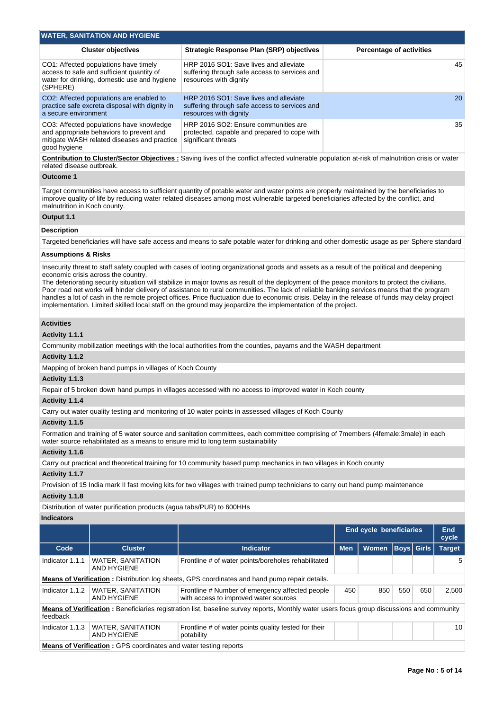| <b>WATER, SANITATION AND HYGIENE</b>                                                                                                                |                                                                                                                   |                                 |
|-----------------------------------------------------------------------------------------------------------------------------------------------------|-------------------------------------------------------------------------------------------------------------------|---------------------------------|
| <b>Cluster objectives</b>                                                                                                                           | <b>Strategic Response Plan (SRP) objectives</b>                                                                   | <b>Percentage of activities</b> |
| CO1: Affected populations have timely<br>access to safe and sufficient quantity of<br>water for drinking, domestic use and hygiene<br>(SPHERE)      | HRP 2016 SO1: Save lives and alleviate<br>suffering through safe access to services and<br>resources with dignity | 45                              |
| CO2: Affected populations are enabled to<br>practice safe excreta disposal with dignity in<br>a secure environment                                  | HRP 2016 SO1: Save lives and alleviate<br>suffering through safe access to services and<br>resources with dignity | <b>20</b>                       |
| CO3: Affected populations have knowledge<br>and appropriate behaviors to prevent and<br>mitigate WASH related diseases and practice<br>good hygiene | HRP 2016 SO2: Ensure communities are<br>protected, capable and prepared to cope with<br>significant threats       | 35                              |

**Contribution to Cluster/Sector Objectives :** Saving lives of the conflict affected vulnerable population at-risk of malnutrition crisis or water related disease outbreak.

#### **Outcome 1**

Target communities have access to sufficient quantity of potable water and water points are properly maintained by the beneficiaries to improve quality of life by reducing water related diseases among most vulnerable targeted beneficiaries affected by the conflict, and malnutrition in Koch county.

## **Output 1.1**

## **Description**

Targeted beneficiaries will have safe access and means to safe potable water for drinking and other domestic usage as per Sphere standard

## **Assumptions & Risks**

Insecurity threat to staff safety coupled with cases of looting organizational goods and assets as a result of the political and deepening economic crisis across the country.

The deteriorating security situation will stabilize in major towns as result of the deployment of the peace monitors to protect the civilians. Poor road net works will hinder delivery of assistance to rural communities. The lack of reliable banking services means that the program handles a lot of cash in the remote project offices. Price fluctuation due to economic crisis. Delay in the release of funds may delay project implementation. Limited skilled local staff on the ground may jeopardize the implementation of the project.

#### **Activities**

#### **Activity 1.1.1**

Community mobilization meetings with the local authorities from the counties, payams and the WASH department

#### **Activity 1.1.2**

Mapping of broken hand pumps in villages of Koch County

## **Activity 1.1.3**

Repair of 5 broken down hand pumps in villages accessed with no access to improved water in Koch county

#### **Activity 1.1.4**

Carry out water quality testing and monitoring of 10 water points in assessed villages of Koch County

#### **Activity 1.1.5**

Formation and training of 5 water source and sanitation committees, each committee comprising of 7members (4female:3male) in each water source rehabilitated as a means to ensure mid to long term sustainability

#### **Activity 1.1.6**

Carry out practical and theoretical training for 10 community based pump mechanics in two villages in Koch county

#### **Activity 1.1.7**

Provision of 15 India mark II fast moving kits for two villages with trained pump technicians to carry out hand pump maintenance

## **Activity 1.1.8**

Distribution of water purification products (agua tabs/PUR) to 600HHs

## **Indicators**

|                 |                                                                                                      |                                                                                                                                            | <b>End cycle beneficiaries</b> |              |                   |     | <b>End</b><br>cycle |  |  |  |
|-----------------|------------------------------------------------------------------------------------------------------|--------------------------------------------------------------------------------------------------------------------------------------------|--------------------------------|--------------|-------------------|-----|---------------------|--|--|--|
| Code            | <b>Cluster</b>                                                                                       | Indicator                                                                                                                                  | <b>Men</b>                     | <b>Women</b> | <b>Boys</b> Girls |     | <b>Target</b>       |  |  |  |
| Indicator 1.1.1 | <b>WATER, SANITATION</b><br>AND HYGIENE                                                              | Frontline # of water points/boreholes rehabilitated                                                                                        |                                |              |                   |     | 5                   |  |  |  |
|                 | <b>Means of Verification:</b> Distribution log sheets, GPS coordinates and hand pump repair details. |                                                                                                                                            |                                |              |                   |     |                     |  |  |  |
| Indicator 1.1.2 | <b>WATER, SANITATION</b><br>AND HYGIENE                                                              | Frontline # Number of emergency affected people<br>with access to improved water sources                                                   | 450                            | 850          | 550               | 650 | 2.500               |  |  |  |
| feedback        |                                                                                                      | Means of Verification: Beneficiaries registration list, baseline survey reports, Monthly water users focus group discussions and community |                                |              |                   |     |                     |  |  |  |
| Indicator 1.1.3 | <b>WATER, SANITATION</b><br>AND HYGIENE                                                              | Frontline # of water points quality tested for their<br>potability                                                                         |                                |              |                   |     | 10                  |  |  |  |
|                 | <b>Means of Verification: GPS coordinates and water testing reports</b>                              |                                                                                                                                            |                                |              |                   |     |                     |  |  |  |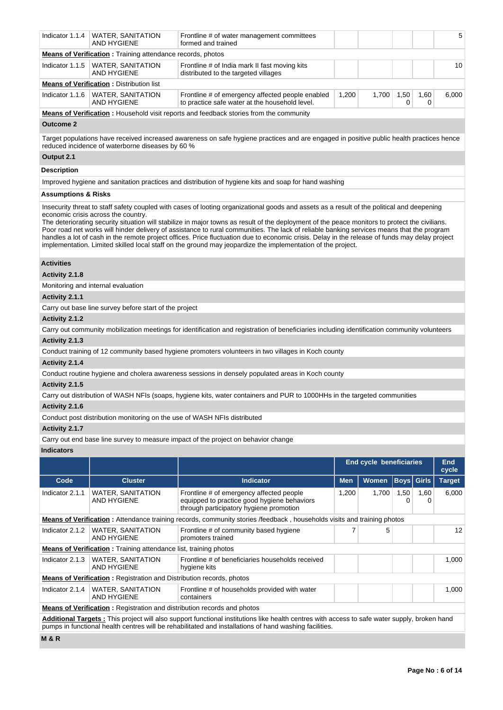| Indicator 1.1.4                                                                                                                                                                                                                                                                                                                                                                                                                                                                                                                                                                                                                                                                                                                                   | <b>WATER, SANITATION</b><br>AND HYGIENE                                  | Frontline # of water management committees<br>formed and trained                                                                             |            |                                |             |              | 5                      |  |  |  |  |  |
|---------------------------------------------------------------------------------------------------------------------------------------------------------------------------------------------------------------------------------------------------------------------------------------------------------------------------------------------------------------------------------------------------------------------------------------------------------------------------------------------------------------------------------------------------------------------------------------------------------------------------------------------------------------------------------------------------------------------------------------------------|--------------------------------------------------------------------------|----------------------------------------------------------------------------------------------------------------------------------------------|------------|--------------------------------|-------------|--------------|------------------------|--|--|--|--|--|
|                                                                                                                                                                                                                                                                                                                                                                                                                                                                                                                                                                                                                                                                                                                                                   | <b>Means of Verification</b> : Training attendance records, photos       |                                                                                                                                              |            |                                |             |              |                        |  |  |  |  |  |
| Indicator 1.1.5                                                                                                                                                                                                                                                                                                                                                                                                                                                                                                                                                                                                                                                                                                                                   | <b>WATER, SANITATION</b><br><b>AND HYGIENE</b>                           | Frontline # of India mark II fast moving kits<br>distributed to the targeted villages                                                        |            |                                |             |              | 10                     |  |  |  |  |  |
|                                                                                                                                                                                                                                                                                                                                                                                                                                                                                                                                                                                                                                                                                                                                                   | <b>Means of Verification: Distribution list</b>                          |                                                                                                                                              |            |                                |             |              |                        |  |  |  |  |  |
| Indicator 1.1.6                                                                                                                                                                                                                                                                                                                                                                                                                                                                                                                                                                                                                                                                                                                                   | <b>WATER, SANITATION</b><br><b>AND HYGIENE</b>                           | Frontline # of emergency affected people enabled<br>to practice safe water at the household level.                                           | 1,200      | 1,700                          | 1,50<br>0   | 1,60<br>0    | 6,000                  |  |  |  |  |  |
| <b>Means of Verification</b> : Household visit reports and feedback stories from the community                                                                                                                                                                                                                                                                                                                                                                                                                                                                                                                                                                                                                                                    |                                                                          |                                                                                                                                              |            |                                |             |              |                        |  |  |  |  |  |
| <b>Outcome 2</b>                                                                                                                                                                                                                                                                                                                                                                                                                                                                                                                                                                                                                                                                                                                                  |                                                                          |                                                                                                                                              |            |                                |             |              |                        |  |  |  |  |  |
| Target populations have received increased awareness on safe hygiene practices and are engaged in positive public health practices hence<br>reduced incidence of waterborne diseases by 60 %                                                                                                                                                                                                                                                                                                                                                                                                                                                                                                                                                      |                                                                          |                                                                                                                                              |            |                                |             |              |                        |  |  |  |  |  |
| Output 2.1                                                                                                                                                                                                                                                                                                                                                                                                                                                                                                                                                                                                                                                                                                                                        |                                                                          |                                                                                                                                              |            |                                |             |              |                        |  |  |  |  |  |
| <b>Description</b>                                                                                                                                                                                                                                                                                                                                                                                                                                                                                                                                                                                                                                                                                                                                |                                                                          |                                                                                                                                              |            |                                |             |              |                        |  |  |  |  |  |
|                                                                                                                                                                                                                                                                                                                                                                                                                                                                                                                                                                                                                                                                                                                                                   |                                                                          | Improved hygiene and sanitation practices and distribution of hygiene kits and soap for hand washing                                         |            |                                |             |              |                        |  |  |  |  |  |
| <b>Assumptions &amp; Risks</b>                                                                                                                                                                                                                                                                                                                                                                                                                                                                                                                                                                                                                                                                                                                    |                                                                          |                                                                                                                                              |            |                                |             |              |                        |  |  |  |  |  |
| Insecurity threat to staff safety coupled with cases of looting organizational goods and assets as a result of the political and deepening<br>economic crisis across the country.<br>The deteriorating security situation will stabilize in major towns as result of the deployment of the peace monitors to protect the civilians.<br>Poor road net works will hinder delivery of assistance to rural communities. The lack of reliable banking services means that the program<br>handles a lot of cash in the remote project offices. Price fluctuation due to economic crisis. Delay in the release of funds may delay project<br>implementation. Limited skilled local staff on the ground may jeopardize the implementation of the project. |                                                                          |                                                                                                                                              |            |                                |             |              |                        |  |  |  |  |  |
| <b>Activities</b>                                                                                                                                                                                                                                                                                                                                                                                                                                                                                                                                                                                                                                                                                                                                 |                                                                          |                                                                                                                                              |            |                                |             |              |                        |  |  |  |  |  |
| Activity 2.1.8                                                                                                                                                                                                                                                                                                                                                                                                                                                                                                                                                                                                                                                                                                                                    |                                                                          |                                                                                                                                              |            |                                |             |              |                        |  |  |  |  |  |
|                                                                                                                                                                                                                                                                                                                                                                                                                                                                                                                                                                                                                                                                                                                                                   | Monitoring and internal evaluation                                       |                                                                                                                                              |            |                                |             |              |                        |  |  |  |  |  |
| Activity 2.1.1                                                                                                                                                                                                                                                                                                                                                                                                                                                                                                                                                                                                                                                                                                                                    |                                                                          |                                                                                                                                              |            |                                |             |              |                        |  |  |  |  |  |
|                                                                                                                                                                                                                                                                                                                                                                                                                                                                                                                                                                                                                                                                                                                                                   | Carry out base line survey before start of the project                   |                                                                                                                                              |            |                                |             |              |                        |  |  |  |  |  |
| Activity 2.1.2                                                                                                                                                                                                                                                                                                                                                                                                                                                                                                                                                                                                                                                                                                                                    |                                                                          |                                                                                                                                              |            |                                |             |              |                        |  |  |  |  |  |
|                                                                                                                                                                                                                                                                                                                                                                                                                                                                                                                                                                                                                                                                                                                                                   |                                                                          | Carry out community mobilization meetings for identification and registration of beneficiaries including identification community volunteers |            |                                |             |              |                        |  |  |  |  |  |
| Activity 2.1.3                                                                                                                                                                                                                                                                                                                                                                                                                                                                                                                                                                                                                                                                                                                                    |                                                                          |                                                                                                                                              |            |                                |             |              |                        |  |  |  |  |  |
|                                                                                                                                                                                                                                                                                                                                                                                                                                                                                                                                                                                                                                                                                                                                                   |                                                                          | Conduct training of 12 community based hygiene promoters volunteers in two villages in Koch county                                           |            |                                |             |              |                        |  |  |  |  |  |
| Activity 2.1.4                                                                                                                                                                                                                                                                                                                                                                                                                                                                                                                                                                                                                                                                                                                                    |                                                                          |                                                                                                                                              |            |                                |             |              |                        |  |  |  |  |  |
|                                                                                                                                                                                                                                                                                                                                                                                                                                                                                                                                                                                                                                                                                                                                                   |                                                                          | Conduct routine hygiene and cholera awareness sessions in densely populated areas in Koch county                                             |            |                                |             |              |                        |  |  |  |  |  |
| Activity 2.1.5                                                                                                                                                                                                                                                                                                                                                                                                                                                                                                                                                                                                                                                                                                                                    |                                                                          |                                                                                                                                              |            |                                |             |              |                        |  |  |  |  |  |
|                                                                                                                                                                                                                                                                                                                                                                                                                                                                                                                                                                                                                                                                                                                                                   |                                                                          | Carry out distribution of WASH NFIs (soaps, hygiene kits, water containers and PUR to 1000HHs in the targeted communities                    |            |                                |             |              |                        |  |  |  |  |  |
| Activity 2.1.6                                                                                                                                                                                                                                                                                                                                                                                                                                                                                                                                                                                                                                                                                                                                    |                                                                          |                                                                                                                                              |            |                                |             |              |                        |  |  |  |  |  |
|                                                                                                                                                                                                                                                                                                                                                                                                                                                                                                                                                                                                                                                                                                                                                   | Conduct post distribution monitoring on the use of WASH NFIs distributed |                                                                                                                                              |            |                                |             |              |                        |  |  |  |  |  |
| Activity 2.1.7                                                                                                                                                                                                                                                                                                                                                                                                                                                                                                                                                                                                                                                                                                                                    |                                                                          |                                                                                                                                              |            |                                |             |              |                        |  |  |  |  |  |
|                                                                                                                                                                                                                                                                                                                                                                                                                                                                                                                                                                                                                                                                                                                                                   |                                                                          | Carry out end base line survey to measure impact of the project on behavior change                                                           |            |                                |             |              |                        |  |  |  |  |  |
| <b>Indicators</b>                                                                                                                                                                                                                                                                                                                                                                                                                                                                                                                                                                                                                                                                                                                                 |                                                                          |                                                                                                                                              |            |                                |             |              |                        |  |  |  |  |  |
|                                                                                                                                                                                                                                                                                                                                                                                                                                                                                                                                                                                                                                                                                                                                                   |                                                                          |                                                                                                                                              |            | <b>End cycle beneficiaries</b> |             |              | End                    |  |  |  |  |  |
| Code                                                                                                                                                                                                                                                                                                                                                                                                                                                                                                                                                                                                                                                                                                                                              | <b>Cluster</b>                                                           | <b>Indicator</b>                                                                                                                             | <b>Men</b> | Women                          | <b>Boys</b> | <b>Girls</b> | cycle<br><b>Target</b> |  |  |  |  |  |
| Indicator 2.1.1                                                                                                                                                                                                                                                                                                                                                                                                                                                                                                                                                                                                                                                                                                                                   |                                                                          |                                                                                                                                              |            |                                |             |              |                        |  |  |  |  |  |
|                                                                                                                                                                                                                                                                                                                                                                                                                                                                                                                                                                                                                                                                                                                                                   | <b>WATER, SANITATION</b><br><b>AND HYGIENE</b>                           | Frontline # of emergency affected people<br>equipped to practice good hygiene behaviors<br>through participatory hygiene promotion           | 1,200      | 1,700                          | 1,50<br>0   | 1,60<br>0    | 6,000                  |  |  |  |  |  |
|                                                                                                                                                                                                                                                                                                                                                                                                                                                                                                                                                                                                                                                                                                                                                   |                                                                          | Means of Verification: Attendance training records, community stories /feedback . households visits and training photos                      |            |                                |             |              |                        |  |  |  |  |  |

|                                                                             | <b>Means of Vermcauon</b> : Alternative training records, community stories reedizable, mouserious visits and training priotos |  |  |       |
|-----------------------------------------------------------------------------|--------------------------------------------------------------------------------------------------------------------------------|--|--|-------|
| Indicator 2.1.2   WATER, SANITATION<br>AND HYGIENE                          | Frontline # of community based hygiene<br>promoters trained                                                                    |  |  | 12    |
| <b>Means of Verification:</b> Training attendance list, training photos     |                                                                                                                                |  |  |       |
| Indicator 2.1.3   WATER, SANITATION<br>AND HYGIENE                          | Frontline # of beneficiaries households received<br>hygiene kits                                                               |  |  | 1.000 |
| <b>Means of Verification:</b> Registration and Distribution records, photos |                                                                                                                                |  |  |       |
| Indicator 2.1.4   WATER, SANITATION                                         | Frontline # of households provided with water                                                                                  |  |  | 1.000 |

AND HYGIENE containers **Means of Verification**: Registration and distribution records and photos

**Additional Targets :** This project will also support functional institutions like health centres with access to safe water supply, broken hand pumps in functional health centres will be rehabilitated and installations of hand washing facilities.

**M & R**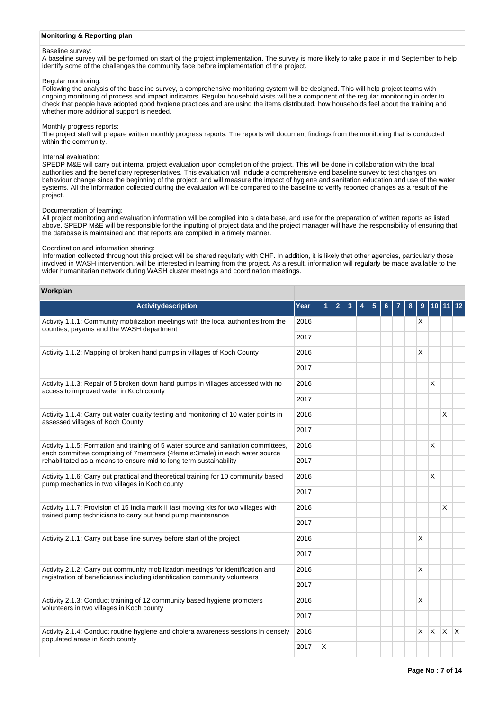## **Monitoring & Reporting plan**

## Baseline survey:

A baseline survey will be performed on start of the project implementation. The survey is more likely to take place in mid September to help identify some of the challenges the community face before implementation of the project.

#### Regular monitoring:

Following the analysis of the baseline survey, a comprehensive monitoring system will be designed. This will help project teams with ongoing monitoring of process and impact indicators. Regular household visits will be a component of the regular monitoring in order to check that people have adopted good hygiene practices and are using the items distributed, how households feel about the training and whether more additional support is needed.

#### Monthly progress reports:

The project staff will prepare written monthly progress reports. The reports will document findings from the monitoring that is conducted within the community.

#### Internal evaluation:

SPEDP M&E will carry out internal project evaluation upon completion of the project. This will be done in collaboration with the local authorities and the beneficiary representatives. This evaluation will include a comprehensive end baseline survey to test changes on behaviour change since the beginning of the project, and will measure the impact of hygiene and sanitation education and use of the water systems. All the information collected during the evaluation will be compared to the baseline to verify reported changes as a result of the project.

#### Documentation of learning:

All project monitoring and evaluation information will be compiled into a data base, and use for the preparation of written reports as listed above. SPEDP M&E will be responsible for the inputting of project data and the project manager will have the responsibility of ensuring that the database is maintained and that reports are compiled in a timely manner.

#### Coordination and information sharing:

Information collected throughout this project will be shared regularly with CHF. In addition, it is likely that other agencies, particularly those involved in WASH intervention, will be interested in learning from the project. As a result, information will regularly be made available to the wider humanitarian network during WASH cluster meetings and coordination meetings.

#### **Workplan**

| <b>Activitydescription</b>                                                                                                                                        | Year | 1 | $\overline{2}$ | 3 | 4 | 5 | 6 | 8 | 9        | 10 11        |     |              |
|-------------------------------------------------------------------------------------------------------------------------------------------------------------------|------|---|----------------|---|---|---|---|---|----------|--------------|-----|--------------|
| Activity 1.1.1: Community mobilization meetings with the local authorities from the<br>counties, payams and the WASH department                                   | 2016 |   |                |   |   |   |   |   | х        |              |     |              |
|                                                                                                                                                                   | 2017 |   |                |   |   |   |   |   |          |              |     |              |
| Activity 1.1.2: Mapping of broken hand pumps in villages of Koch County                                                                                           |      |   |                |   |   |   |   |   | X        |              |     |              |
|                                                                                                                                                                   | 2017 |   |                |   |   |   |   |   |          |              |     |              |
| Activity 1.1.3: Repair of 5 broken down hand pumps in villages accessed with no<br>access to improved water in Koch county                                        | 2016 |   |                |   |   |   |   |   |          | $\times$     |     |              |
|                                                                                                                                                                   | 2017 |   |                |   |   |   |   |   |          |              |     |              |
| Activity 1.1.4: Carry out water quality testing and monitoring of 10 water points in<br>assessed villages of Koch County                                          | 2016 |   |                |   |   |   |   |   |          |              | X   |              |
|                                                                                                                                                                   | 2017 |   |                |   |   |   |   |   |          |              |     |              |
| Activity 1.1.5: Formation and training of 5 water source and sanitation committees,<br>each committee comprising of 7members (4female:3male) in each water source | 2016 |   |                |   |   |   |   |   |          | X            |     |              |
| rehabilitated as a means to ensure mid to long term sustainability                                                                                                | 2017 |   |                |   |   |   |   |   |          |              |     |              |
| Activity 1.1.6: Carry out practical and theoretical training for 10 community based<br>pump mechanics in two villages in Koch county                              | 2016 |   |                |   |   |   |   |   |          | $\times$     |     |              |
|                                                                                                                                                                   | 2017 |   |                |   |   |   |   |   |          |              |     |              |
| Activity 1.1.7: Provision of 15 India mark II fast moving kits for two villages with<br>trained pump technicians to carry out hand pump maintenance               | 2016 |   |                |   |   |   |   |   |          |              | X   |              |
|                                                                                                                                                                   | 2017 |   |                |   |   |   |   |   |          |              |     |              |
| Activity 2.1.1: Carry out base line survey before start of the project                                                                                            | 2016 |   |                |   |   |   |   |   | X        |              |     |              |
|                                                                                                                                                                   | 2017 |   |                |   |   |   |   |   |          |              |     |              |
| Activity 2.1.2: Carry out community mobilization meetings for identification and<br>registration of beneficiaries including identification community volunteers   | 2016 |   |                |   |   |   |   |   | X        |              |     |              |
|                                                                                                                                                                   | 2017 |   |                |   |   |   |   |   |          |              |     |              |
| Activity 2.1.3: Conduct training of 12 community based hygiene promoters<br>volunteers in two villages in Koch county                                             | 2016 |   |                |   |   |   |   |   | X        |              |     |              |
|                                                                                                                                                                   | 2017 |   |                |   |   |   |   |   |          |              |     |              |
| Activity 2.1.4: Conduct routine hygiene and cholera awareness sessions in densely<br>populated areas in Koch county                                               | 2016 |   |                |   |   |   |   |   | $\times$ | $\mathsf{X}$ | ΙX. | $\mathsf{X}$ |
|                                                                                                                                                                   | 2017 | X |                |   |   |   |   |   |          |              |     |              |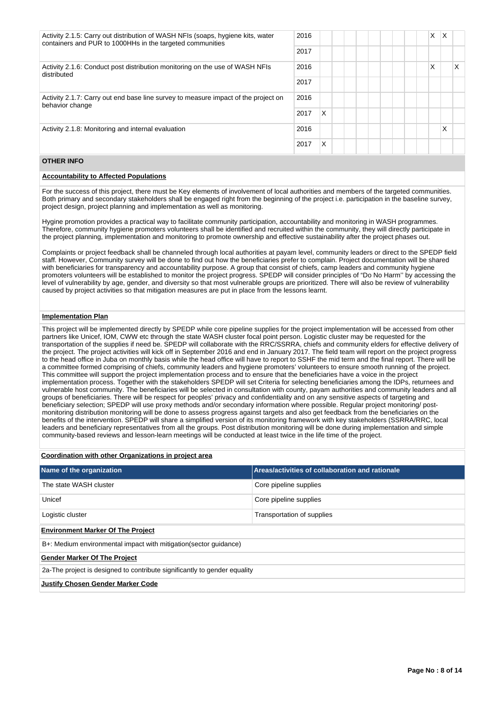| Activity 2.1.5: Carry out distribution of WASH NFIs (soaps, hygiene kits, water<br>containers and PUR to 1000HHs in the targeted communities | 2016 |   |  | X | X |    |
|----------------------------------------------------------------------------------------------------------------------------------------------|------|---|--|---|---|----|
|                                                                                                                                              | 2017 |   |  |   |   |    |
| Activity 2.1.6: Conduct post distribution monitoring on the use of WASH NFIs<br>distributed                                                  | 2016 |   |  | Х |   | X. |
|                                                                                                                                              | 2017 |   |  |   |   |    |
| Activity 2.1.7: Carry out end base line survey to measure impact of the project on<br>behavior change                                        | 2016 |   |  |   |   |    |
|                                                                                                                                              | 2017 | X |  |   |   |    |
| Activity 2.1.8: Monitoring and internal evaluation                                                                                           | 2016 |   |  |   | Χ |    |
|                                                                                                                                              | 2017 | X |  |   |   |    |

## **OTHER INFO**

## **Accountability to Affected Populations**

For the success of this project, there must be Key elements of involvement of local authorities and members of the targeted communities. Both primary and secondary stakeholders shall be engaged right from the beginning of the project i.e. participation in the baseline survey, project design, project planning and implementation as well as monitoring.

Hygine promotion provides a practical way to facilitate community participation, accountability and monitoring in WASH programmes. Therefore, community hygiene promoters volunteers shall be identified and recruited within the community, they will directly participate in the project planning, implementation and monitoring to promote ownership and effective sustainability after the project phases out.

Complaints or project feedback shall be channeled through local authorities at payam level, community leaders or direct to the SPEDP field staff. However, Community survey will be done to find out how the beneficiaries prefer to complain. Project documentation will be shared with beneficiaries for transparency and accountability purpose. A group that consist of chiefs, camp leaders and community hygiene promoters volunteers will be established to monitor the project progress. SPEDP will consider principles of "Do No Harm'' by accessing the level of vulnerability by age, gender, and diversity so that most vulnerable groups are prioritized. There will also be review of vulnerability caused by project activities so that mitigation measures are put in place from the lessons learnt.

#### **Implementation Plan**

This project will be implemented directly by SPEDP while core pipeline supplies for the project implementation will be accessed from other partners like Unicef, IOM, CWW etc through the state WASH cluster focal point person. Logistic cluster may be requested for the transportation of the supplies if need be. SPEDP will collaborate with the RRC/SSRRA, chiefs and community elders for effective delivery of the project. The project activities will kick off in September 2016 and end in January 2017. The field team will report on the project progress to the head office in Juba on monthly basis while the head office will have to report to SSHF the mid term and the final report. There will be a committee formed comprising of chiefs, community leaders and hygiene promoters' volunteers to ensure smooth running of the project. This committee will support the project implementation process and to ensure that the beneficiaries have a voice in the project implementation process. Together with the stakeholders SPEDP will set Criteria for selecting beneficiaries among the IDPs, returnees and vulnerable host community. The beneficiaries will be selected in consultation with county, payam authorities and community leaders and all groups of beneficiaries. There will be respect for peoples' privacy and confidentiality and on any sensitive aspects of targeting and beneficiary selection; SPEDP will use proxy methods and/or secondary information where possible. Regular project monitoring/ postmonitoring distribution monitoring will be done to assess progress against targets and also get feedback from the beneficiaries on the benefits of the intervention. SPEDP will share a simplified version of its monitoring framework with key stakeholders (SSRRA/RRC, local leaders and beneficiary representatives from all the groups. Post distribution monitoring will be done during implementation and simple community-based reviews and lesson-learn meetings will be conducted at least twice in the life time of the project.

## **Coordination with other Organizations in project area**

| Name of the organization                                                  | Areas/activities of collaboration and rationale |  |  |  |  |  |  |
|---------------------------------------------------------------------------|-------------------------------------------------|--|--|--|--|--|--|
| The state WASH cluster                                                    | Core pipeline supplies                          |  |  |  |  |  |  |
| Unicef                                                                    | Core pipeline supplies                          |  |  |  |  |  |  |
| Logistic cluster                                                          | Transportation of supplies                      |  |  |  |  |  |  |
| <b>Environment Marker Of The Project</b>                                  |                                                 |  |  |  |  |  |  |
| B+: Medium environmental impact with mitigation (sector quidance)         |                                                 |  |  |  |  |  |  |
| <b>Gender Marker Of The Project</b>                                       |                                                 |  |  |  |  |  |  |
| 2a-The project is designed to contribute significantly to gender equality |                                                 |  |  |  |  |  |  |
| <b>Justify Chosen Gender Marker Code</b>                                  |                                                 |  |  |  |  |  |  |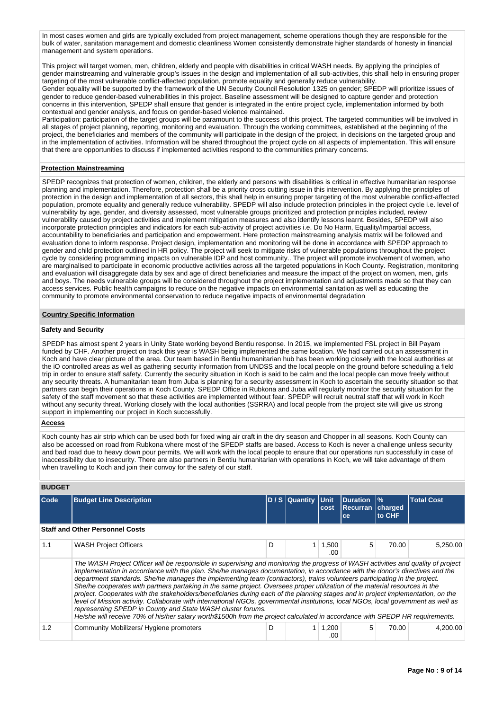In most cases women and girls are typically excluded from project management, scheme operations though they are responsible for the bulk of water, sanitation management and domestic cleanliness Women consistently demonstrate higher standards of honesty in financial management and system operations.

This project will target women, men, children, elderly and people with disabilities in critical WASH needs. By applying the principles of gender mainstreaming and vulnerable group's issues in the design and implementation of all sub-activities, this shall help in ensuring proper targeting of the most vulnerable conflict-affected population, promote equality and generally reduce vulnerability. Gender equality will be supported by the framework of the UN Security Council Resolution 1325 on gender; SPEDP will prioritize issues of

gender to reduce gender-based vulnerabilities in this project. Baseline assessment will be designed to capture gender and protection concerns in this intervention, SPEDP shall ensure that gender is integrated in the entire project cycle, implementation informed by both contextual and gender analysis, and focus on gender-based violence maintained.

Participation: participation of the target groups will be paramount to the success of this project. The targeted communities will be involved in all stages of project planning, reporting, monitoring and evaluation. Through the working committees, established at the beginning of the project, the beneficiaries and members of the community will participate in the design of the project, in decisions on the targeted group and in the implementation of activities. Information will be shared throughout the project cycle on all aspects of implementation. This will ensure that there are opportunities to discuss if implemented activities respond to the communities primary concerns.

## **Protection Mainstreaming**

SPEDP recognizes that protection of women, children, the elderly and persons with disabilities is critical in effective humanitarian response planning and implementation. Therefore, protection shall be a priority cross cutting issue in this intervention. By applying the principles of protection in the design and implementation of all sectors, this shall help in ensuring proper targeting of the most vulnerable conflict-affected population, promote equality and generally reduce vulnerability. SPEDP will also include protection principles in the project cycle i.e. level of vulnerability by age, gender, and diversity assessed, most vulnerable groups prioritized and protection principles included, review vulnerability caused by project activities and implement mitigation measures and also identify lessons learnt. Besides, SPEDP will also incorporate protection principles and indicators for each sub-activity of project activities i.e. Do No Harm, Equality/Impartial access, accountability to beneficiaries and participation and empowerment. Here protection mainstreaming analysis matrix will be followed and evaluation done to inform response. Project design, implementation and monitoring will be done in accordance with SPEDP approach to gender and child protection outlined in HR policy. The project will seek to mitigate risks of vulnerable populations throughout the project cycle by considering programming impacts on vulnerable IDP and host community.. The project will promote involvement of women, who are marginalised to participate in economic productive activities across all the targeted populations in Koch County. Registration, monitoring and evaluation will disaggregate data by sex and age of direct beneficiaries and measure the impact of the project on women, men, girls and boys. The needs vulnerable groups will be considered throughout the project implementation and adjustments made so that they can access services. Public health campaigns to reduce on the negative impacts on environmental sanitation as well as educating the community to promote environmental conservation to reduce negative impacts of environmental degradation

#### **Country Specific Information**

## **Safety and Security**

SPEDP has almost spent 2 years in Unity State working beyond Bentiu response. In 2015, we implemented FSL project in Bill Payam funded by CHF. Another project on track this year is WASH being implemented the same location. We had carried out an assessment in Koch and have clear picture of the area. Our team based in Bentiu humanitarian hub has been working closely with the local authorities at the iO controlled areas as well as gathering security information from UNDSS and the local people on the ground before scheduling a field trip in order to ensure staff safety. Currently the security situation in Koch is said to be calm and the local people can move freely without any security threats. A humanitarian team from Juba is planning for a security assessment in Koch to ascertain the security situation so that partners can begin their operations in Koch County. SPEDP Office in Rubkona and Juba will regularly monitor the security situation for the safety of the staff movement so that these activities are implemented without fear. SPEDP will recruit neutral staff that will work in Koch without any security threat. Working closely with the local authorities (SSRRA) and local people from the project site will give us strong support in implementing our project in Koch successfully.

#### **Access**

Koch county has air strip which can be used both for fixed wing air craft in the dry season and Chopper in all seasons. Koch County can also be accessed on road from Rubkona where most of the SPEDP staffs are based. Access to Koch is never a challenge unless security and bad road due to heavy down pour permits. We will work with the local people to ensure that our operations run successfully in case of inaccessibility due to insecurity. There are also partners in Bentiu humanitarian with operations in Koch, we will take advantage of them when travelling to Koch and join their convoy for the safety of our staff.

## **BUDGET**

| Code | <b>Budget Line Description</b>                                                                                                                                                                                                                                                                                                                                                                                                                                                                                                                                                                                                                                                                                                                                                                                                                                                                                                                                                                        |   | D / S Quantity | <b>IUnit</b><br>cost | <b>Duration</b><br><b>Recurran</b><br>ce | $\frac{9}{6}$<br>charged<br>to CHF | <b>Total Cost</b> |  |  |  |
|------|-------------------------------------------------------------------------------------------------------------------------------------------------------------------------------------------------------------------------------------------------------------------------------------------------------------------------------------------------------------------------------------------------------------------------------------------------------------------------------------------------------------------------------------------------------------------------------------------------------------------------------------------------------------------------------------------------------------------------------------------------------------------------------------------------------------------------------------------------------------------------------------------------------------------------------------------------------------------------------------------------------|---|----------------|----------------------|------------------------------------------|------------------------------------|-------------------|--|--|--|
|      | <b>Staff and Other Personnel Costs</b>                                                                                                                                                                                                                                                                                                                                                                                                                                                                                                                                                                                                                                                                                                                                                                                                                                                                                                                                                                |   |                |                      |                                          |                                    |                   |  |  |  |
| 1.1  | <b>WASH Project Officers</b>                                                                                                                                                                                                                                                                                                                                                                                                                                                                                                                                                                                                                                                                                                                                                                                                                                                                                                                                                                          | D |                | 1,500<br>.00         | 5                                        | 70.00                              | 5,250.00          |  |  |  |
|      | The WASH Project Officer will be responsible in supervising and monitoring the progress of WASH activities and quality of project<br>implementation in accordance with the plan. She/he manages documentation, in accordance with the donor's directives and the<br>department standards. She/he manages the implementing team (contractors), trains volunteers participating in the project.<br>She/he cooperates with partners partaking in the same project. Oversees proper utilization of the material resources in the<br>project. Cooperates with the stakeholders/beneficiaries during each of the planning stages and in project implementation, on the<br>level of Mission activity. Collaborate with international NGOs, governmental institutions, local NGOs, local government as well as<br>representing SPEDP in County and State WASH cluster forums.<br>He/she will receive 70% of his/her salary worth\$1500h from the project calculated in accordance with SPEDP HR requirements. |   |                |                      |                                          |                                    |                   |  |  |  |
| 1.2  | Community Mobilizers/ Hygiene promoters                                                                                                                                                                                                                                                                                                                                                                                                                                                                                                                                                                                                                                                                                                                                                                                                                                                                                                                                                               | D |                | 1,200<br>.00         | 5                                        | 70.00                              | 4.200.00          |  |  |  |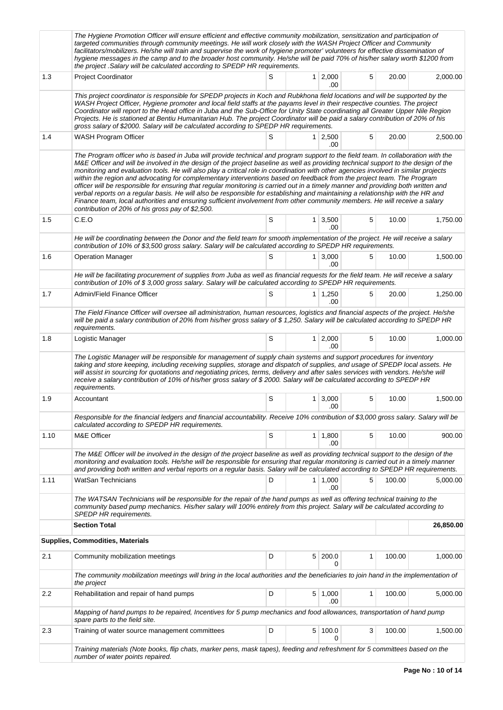|      | The Hygiene Promotion Officer will ensure efficient and effective community mobilization, sensitization and participation of<br>targeted communities through community meetings. He will work closely with the WASH Project Officer and Community<br>facilitators/mobilizers. He/she will train and supervise the work of hygiene promoter' volunteers for effective dissemination of<br>hygiene messages in the camp and to the broader host community. He/she will be paid 70% of his/her salary worth \$1200 from<br>the project . Salary will be calculated according to SPEDP HR requirements.                                                                                                                                                                                                                                                                                                                                                                                             |   |   |                        |   |        |           |  |  |  |
|------|-------------------------------------------------------------------------------------------------------------------------------------------------------------------------------------------------------------------------------------------------------------------------------------------------------------------------------------------------------------------------------------------------------------------------------------------------------------------------------------------------------------------------------------------------------------------------------------------------------------------------------------------------------------------------------------------------------------------------------------------------------------------------------------------------------------------------------------------------------------------------------------------------------------------------------------------------------------------------------------------------|---|---|------------------------|---|--------|-----------|--|--|--|
| 1.3  | <b>Project Coordinator</b>                                                                                                                                                                                                                                                                                                                                                                                                                                                                                                                                                                                                                                                                                                                                                                                                                                                                                                                                                                      | S |   | $1 \ 2,000$<br>.00     | 5 | 20.00  | 2,000.00  |  |  |  |
|      | This project coordinator is responsible for SPEDP projects in Koch and Rubkhona field locations and will be supported by the<br>WASH Project Officer, Hygiene promoter and local field staffs at the payams level in their respective counties. The project<br>Coordinator will report to the Head office in Juba and the Sub-Office for Unity State coordinating all Greater Upper Nile Region<br>Projects. He is stationed at Bentiu Humanitarian Hub. The project Coordinator will be paid a salary contribution of 20% of his<br>gross salary of \$2000. Salary will be calculated according to SPEDP HR requirements.                                                                                                                                                                                                                                                                                                                                                                      |   |   |                        |   |        |           |  |  |  |
| 1.4  | WASH Program Officer                                                                                                                                                                                                                                                                                                                                                                                                                                                                                                                                                                                                                                                                                                                                                                                                                                                                                                                                                                            | S |   | $1 \mid 2,500$<br>.00  | 5 | 20.00  | 2,500.00  |  |  |  |
|      | The Program officer who is based in Juba will provide technical and program support to the field team. In collaboration with the<br>M&E Officer and will be involved in the design of the project baseline as well as providing technical support to the design of the<br>monitoring and evaluation tools. He will also play a critical role in coordination with other agencies involved in similar projects<br>within the region and advocating for complementary interventions based on feedback from the project team. The Program<br>officer will be responsible for ensuring that regular monitoring is carried out in a timely manner and providing both written and<br>verbal reports on a regular basis. He will also be responsible for establishing and maintaining a relationship with the HR and<br>Finance team, local authorities and ensuring sufficient involvement from other community members. He will receive a salary<br>contribution of 20% of his gross pay of \$2,500. |   |   |                        |   |        |           |  |  |  |
| 1.5  | C.E.O                                                                                                                                                                                                                                                                                                                                                                                                                                                                                                                                                                                                                                                                                                                                                                                                                                                                                                                                                                                           | S |   | 1 3,500<br>.00         | 5 | 10.00  | 1,750.00  |  |  |  |
|      | He will be coordinating between the Donor and the field team for smooth implementation of the project. He will receive a salary<br>contribution of 10% of \$3,500 gross salary. Salary will be calculated according to SPEDP HR requirements.                                                                                                                                                                                                                                                                                                                                                                                                                                                                                                                                                                                                                                                                                                                                                   |   |   |                        |   |        |           |  |  |  |
| 1.6  | <b>Operation Manager</b>                                                                                                                                                                                                                                                                                                                                                                                                                                                                                                                                                                                                                                                                                                                                                                                                                                                                                                                                                                        | S |   | $1 \mid 3,000$<br>.00  | 5 | 10.00  | 1.500.00  |  |  |  |
|      | He will be facilitating procurement of supplies from Juba as well as financial requests for the field team. He will receive a salary<br>contribution of 10% of \$3,000 gross salary. Salary will be calculated according to SPEDP HR requirements.                                                                                                                                                                                                                                                                                                                                                                                                                                                                                                                                                                                                                                                                                                                                              |   |   |                        |   |        |           |  |  |  |
| 1.7  | Admin/Field Finance Officer                                                                                                                                                                                                                                                                                                                                                                                                                                                                                                                                                                                                                                                                                                                                                                                                                                                                                                                                                                     | S |   | $1 \mid 1,250$<br>.00  | 5 | 20.00  | 1,250.00  |  |  |  |
|      | The Field Finance Officer will oversee all administration, human resources, logistics and financial aspects of the project. He/she<br>will be paid a salary contribution of 20% from his/her gross salary of \$1,250. Salary will be calculated according to SPEDP HR<br>requirements.                                                                                                                                                                                                                                                                                                                                                                                                                                                                                                                                                                                                                                                                                                          |   |   |                        |   |        |           |  |  |  |
| 1.8  | Logistic Manager                                                                                                                                                                                                                                                                                                                                                                                                                                                                                                                                                                                                                                                                                                                                                                                                                                                                                                                                                                                | S |   | $1 \, 2,000$<br>.00    | 5 | 10.00  | 1,000.00  |  |  |  |
|      | The Logistic Manager will be responsible for management of supply chain systems and support procedures for inventory<br>taking and store keeping, including receiving supplies, storage and dispatch of supplies, and usage of SPEDP local assets. He<br>will assist in sourcing for quotations and negotiating prices, terms, delivery and after sales services with vendors. He/she will<br>receive a salary contribution of 10% of his/her gross salary of \$2000. Salary will be calculated according to SPEDP HR<br>requirements.                                                                                                                                                                                                                                                                                                                                                                                                                                                          |   |   |                        |   |        |           |  |  |  |
| 1.9  | Accountant                                                                                                                                                                                                                                                                                                                                                                                                                                                                                                                                                                                                                                                                                                                                                                                                                                                                                                                                                                                      | S |   | $1 \mid 3,000$         | 5 | 10.00  | 1,500.00  |  |  |  |
|      | .00<br>Responsible for the financial ledgers and financial accountability. Receive 10% contribution of \$3,000 gross salary. Salary will be<br>calculated according to SPEDP HR requirements.                                                                                                                                                                                                                                                                                                                                                                                                                                                                                                                                                                                                                                                                                                                                                                                                   |   |   |                        |   |        |           |  |  |  |
| 1.10 | M&E Officer                                                                                                                                                                                                                                                                                                                                                                                                                                                                                                                                                                                                                                                                                                                                                                                                                                                                                                                                                                                     | S |   | $1 \mid 1,800$<br>.00  | 5 | 10.00  | 900.00    |  |  |  |
|      | The M&E Officer will be involved in the design of the project baseline as well as providing technical support to the design of the<br>monitoring and evaluation tools. He/she will be responsible for ensuring that regular monitoring is carried out in a timely manner<br>and providing both written and verbal reports on a regular basis. Salary will be calculated according to SPEDP HR requirements.                                                                                                                                                                                                                                                                                                                                                                                                                                                                                                                                                                                     |   |   |                        |   |        |           |  |  |  |
| 1.11 | <b>WatSan Technicians</b>                                                                                                                                                                                                                                                                                                                                                                                                                                                                                                                                                                                                                                                                                                                                                                                                                                                                                                                                                                       | D |   | $1 \mid 1,000$<br>.00  | 5 | 100.00 | 5.000.00  |  |  |  |
|      | The WATSAN Technicians will be responsible for the repair of the hand pumps as well as offering technical training to the<br>community based pump mechanics. His/her salary will 100% entirely from this project. Salary will be calculated according to<br>SPEDP HR requirements.                                                                                                                                                                                                                                                                                                                                                                                                                                                                                                                                                                                                                                                                                                              |   |   |                        |   |        |           |  |  |  |
|      | <b>Section Total</b>                                                                                                                                                                                                                                                                                                                                                                                                                                                                                                                                                                                                                                                                                                                                                                                                                                                                                                                                                                            |   |   |                        |   |        | 26,850.00 |  |  |  |
|      | Supplies, Commodities, Materials                                                                                                                                                                                                                                                                                                                                                                                                                                                                                                                                                                                                                                                                                                                                                                                                                                                                                                                                                                |   |   |                        |   |        |           |  |  |  |
| 2.1  | Community mobilization meetings                                                                                                                                                                                                                                                                                                                                                                                                                                                                                                                                                                                                                                                                                                                                                                                                                                                                                                                                                                 | D |   | 5 200.0<br>0           | 1 | 100.00 | 1,000.00  |  |  |  |
|      | The community mobilization meetings will bring in the local authorities and the beneficiaries to join hand in the implementation of<br>the project                                                                                                                                                                                                                                                                                                                                                                                                                                                                                                                                                                                                                                                                                                                                                                                                                                              |   |   |                        |   |        |           |  |  |  |
| 2.2  | Rehabilitation and repair of hand pumps                                                                                                                                                                                                                                                                                                                                                                                                                                                                                                                                                                                                                                                                                                                                                                                                                                                                                                                                                         | D |   | $5 \mid 1,000$<br>.00. | 1 | 100.00 | 5,000.00  |  |  |  |
|      | Mapping of hand pumps to be repaired, Incentives for 5 pump mechanics and food allowances, transportation of hand pump<br>spare parts to the field site.                                                                                                                                                                                                                                                                                                                                                                                                                                                                                                                                                                                                                                                                                                                                                                                                                                        |   |   |                        |   |        |           |  |  |  |
| 2.3  | Training of water source management committees                                                                                                                                                                                                                                                                                                                                                                                                                                                                                                                                                                                                                                                                                                                                                                                                                                                                                                                                                  | D | 5 | 100.0<br>0             | 3 | 100.00 | 1,500.00  |  |  |  |
|      | Training materials (Note books, flip chats, marker pens, mask tapes), feeding and refreshment for 5 committees based on the<br>number of water points repaired.                                                                                                                                                                                                                                                                                                                                                                                                                                                                                                                                                                                                                                                                                                                                                                                                                                 |   |   |                        |   |        |           |  |  |  |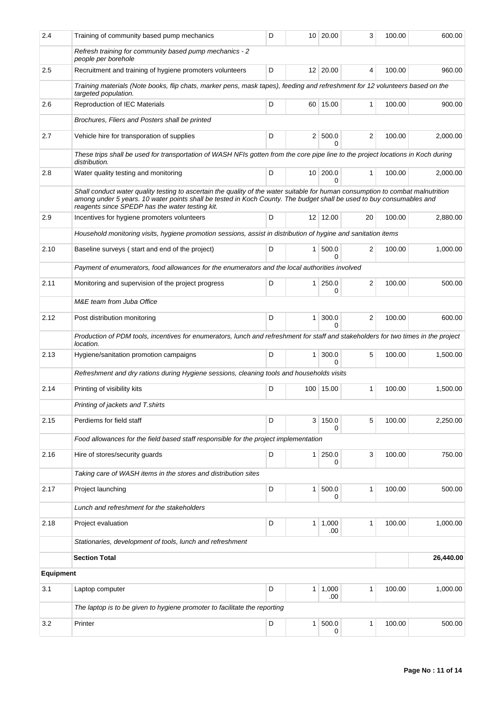| 2.4              | Training of community based pump mechanics                                                                                                                                                                                                                                                                 | D |                 | 10 20.00              | 3                       | 100.00 | 600.00    |  |  |  |
|------------------|------------------------------------------------------------------------------------------------------------------------------------------------------------------------------------------------------------------------------------------------------------------------------------------------------------|---|-----------------|-----------------------|-------------------------|--------|-----------|--|--|--|
|                  | Refresh training for community based pump mechanics - 2<br>people per borehole                                                                                                                                                                                                                             |   |                 |                       |                         |        |           |  |  |  |
| 2.5              | Recruitment and training of hygiene promoters volunteers                                                                                                                                                                                                                                                   | D |                 | 12 20.00              | 4                       | 100.00 | 960.00    |  |  |  |
|                  | Training materials (Note books, flip chats, marker pens, mask tapes), feeding and refreshment for 12 volunteers based on the<br>targeted population.                                                                                                                                                       |   |                 |                       |                         |        |           |  |  |  |
| 2.6              | <b>Reproduction of IEC Materials</b>                                                                                                                                                                                                                                                                       | 1 | 100.00          | 900.00                |                         |        |           |  |  |  |
|                  | Brochures, Fliers and Posters shall be printed                                                                                                                                                                                                                                                             |   |                 |                       |                         |        |           |  |  |  |
| 2.7              | Vehicle hire for transporation of supplies                                                                                                                                                                                                                                                                 | D |                 | 2   500.0<br>$\Omega$ | 2                       | 100.00 | 2,000.00  |  |  |  |
|                  | These trips shall be used for transportation of WASH NFIs gotten from the core pipe line to the project locations in Koch during<br>distribution.                                                                                                                                                          |   |                 |                       |                         |        |           |  |  |  |
| 2.8              | Water quality testing and monitoring                                                                                                                                                                                                                                                                       | D | 10 <sup>1</sup> | 200.0<br>$\Omega$     | $\mathbf{1}$            | 100.00 | 2,000.00  |  |  |  |
|                  | Shall conduct water quality testing to ascertain the quality of the water suitable for human consumption to combat malnutrition<br>among under 5 years. 10 water points shall be tested in Koch County. The budget shall be used to buy consumables and<br>reagents since SPEDP has the water testing kit. |   |                 |                       |                         |        |           |  |  |  |
| 2.9              | Incentives for hygiene promoters volunteers                                                                                                                                                                                                                                                                | D |                 | 12 12.00              | 20                      | 100.00 | 2,880.00  |  |  |  |
|                  | Household monitoring visits, hygiene promotion sessions, assist in distribution of hygine and sanitation items                                                                                                                                                                                             |   |                 |                       |                         |        |           |  |  |  |
| 2.10             | Baseline surveys (start and end of the project)                                                                                                                                                                                                                                                            | D | 1 <sup>1</sup>  | 500.0<br><sup>0</sup> | 2                       | 100.00 | 1.000.00  |  |  |  |
|                  | Payment of enumerators, food allowances for the enumerators and the local authorities involved                                                                                                                                                                                                             |   |                 |                       |                         |        |           |  |  |  |
| 2.11             | Monitoring and supervision of the project progress                                                                                                                                                                                                                                                         | D | 1 <sup>1</sup>  | 250.0<br>0            | $\overline{\mathbf{c}}$ | 100.00 | 500.00    |  |  |  |
|                  | M&E team from Juba Office                                                                                                                                                                                                                                                                                  |   |                 |                       |                         |        |           |  |  |  |
| 2.12             | Post distribution monitoring                                                                                                                                                                                                                                                                               | D | $\mathbf{1}$    | 300.0<br>0            | 2                       | 100.00 | 600.00    |  |  |  |
|                  | Production of PDM tools, incentives for enumerators, lunch and refreshment for staff and stakeholders for two times in the project<br>location.                                                                                                                                                            |   |                 |                       |                         |        |           |  |  |  |
| 2.13             | Hygiene/sanitation promotion campaigns                                                                                                                                                                                                                                                                     | D | 1 <sup>1</sup>  | 300.0<br>$\Omega$     | 5                       | 100.00 | 1,500.00  |  |  |  |
|                  | Refreshment and dry rations during Hygiene sessions, cleaning tools and households visits                                                                                                                                                                                                                  |   |                 |                       |                         |        |           |  |  |  |
| 2.14             | Printing of visibility kits                                                                                                                                                                                                                                                                                | D |                 | 100 15.00             | 1                       | 100.00 | 1,500.00  |  |  |  |
|                  | Printing of jackets and T.shirts                                                                                                                                                                                                                                                                           |   |                 |                       |                         |        |           |  |  |  |
| 2.15             | Perdiems for field staff                                                                                                                                                                                                                                                                                   | D | 3 <sup>1</sup>  | 150.0<br>0            | 5                       | 100.00 | 2,250.00  |  |  |  |
|                  | Food allowances for the field based staff responsible for the project implementation                                                                                                                                                                                                                       |   |                 |                       |                         |        |           |  |  |  |
| 2.16             | Hire of stores/security guards                                                                                                                                                                                                                                                                             | D | 1 <sup>1</sup>  | 250.0<br>0            | 3                       | 100.00 | 750.00    |  |  |  |
|                  | Taking care of WASH items in the stores and distribution sites                                                                                                                                                                                                                                             |   |                 |                       |                         |        |           |  |  |  |
| 2.17             | Project launching                                                                                                                                                                                                                                                                                          | D | 1 <sup>1</sup>  | 500.0<br>0            | 1                       | 100.00 | 500.00    |  |  |  |
|                  | Lunch and refreshment for the stakeholders                                                                                                                                                                                                                                                                 |   |                 |                       |                         |        |           |  |  |  |
| 2.18             | Project evaluation                                                                                                                                                                                                                                                                                         | D | 1 <sup>1</sup>  | 1,000<br>.00          | 1                       | 100.00 | 1,000.00  |  |  |  |
|                  | Stationaries, development of tools, lunch and refreshment                                                                                                                                                                                                                                                  |   |                 |                       |                         |        |           |  |  |  |
|                  | <b>Section Total</b>                                                                                                                                                                                                                                                                                       |   |                 |                       |                         |        | 26,440.00 |  |  |  |
| <b>Equipment</b> |                                                                                                                                                                                                                                                                                                            |   |                 |                       |                         |        |           |  |  |  |
| 3.1              | Laptop computer                                                                                                                                                                                                                                                                                            | D |                 | $1 \mid 1,000$<br>.00 | 1                       | 100.00 | 1,000.00  |  |  |  |
|                  | The laptop is to be given to hygiene promoter to facilitate the reporting                                                                                                                                                                                                                                  |   |                 |                       |                         |        |           |  |  |  |
| 3.2              | Printer                                                                                                                                                                                                                                                                                                    | D | 1               | 500.0<br>0            | 1                       | 100.00 | 500.00    |  |  |  |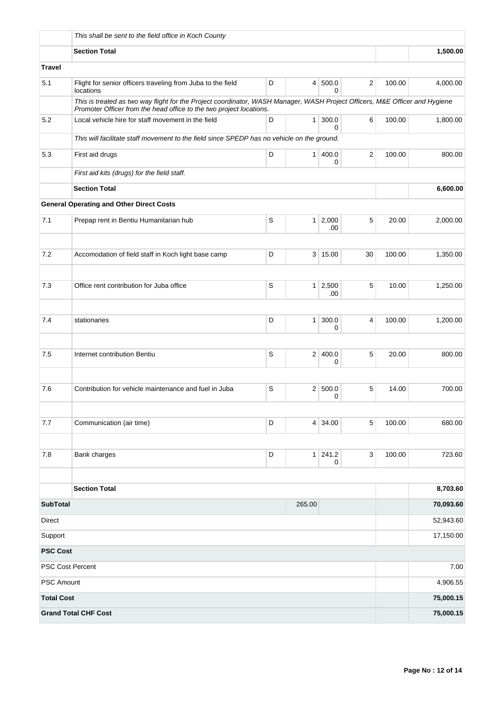|                         | This shall be sent to the field office in Koch County                                      |                                                                                                                             |                |                  |    |        |           |
|-------------------------|--------------------------------------------------------------------------------------------|-----------------------------------------------------------------------------------------------------------------------------|----------------|------------------|----|--------|-----------|
|                         | <b>Section Total</b>                                                                       |                                                                                                                             |                |                  |    |        | 1,500.00  |
| <b>Travel</b>           |                                                                                            |                                                                                                                             |                |                  |    |        |           |
| 5.1                     | Flight for senior officers traveling from Juba to the field<br>locations                   | 100.00                                                                                                                      | 4,000.00       |                  |    |        |           |
|                         |                                                                                            | This is treated as two way flight for the Project coordinator, WASH Manager, WASH Project Officers, M&E Officer and Hygiene |                |                  |    |        |           |
| 5.2                     | Local vehicle hire for staff movement in the field                                         | 100.00                                                                                                                      | 1,800.00       |                  |    |        |           |
|                         | This will facilitate staff movement to the field since SPEDP has no vehicle on the ground. |                                                                                                                             |                |                  |    |        |           |
| 5.3                     | First aid drugs                                                                            | 100.00                                                                                                                      | 800.00         |                  |    |        |           |
|                         | First aid kits (drugs) for the field staff.                                                |                                                                                                                             |                |                  |    |        |           |
|                         | <b>Section Total</b>                                                                       |                                                                                                                             |                |                  |    |        | 6,600.00  |
|                         | <b>General Operating and Other Direct Costs</b>                                            |                                                                                                                             |                |                  |    |        |           |
| 7.1                     | Prepap rent in Bentiu Humanitarian hub                                                     | S                                                                                                                           | 1 <sup>1</sup> | 2,000<br>.00     | 5  | 20.00  | 2,000.00  |
|                         |                                                                                            |                                                                                                                             |                |                  |    |        |           |
| 7.2                     | Accomodation of field staff in Koch light base camp                                        | D                                                                                                                           |                | 3   15.00        | 30 | 100.00 | 1,350.00  |
| 7.3                     | S<br>$1 \mid 2,500$<br>Office rent contribution for Juba office<br>.00                     |                                                                                                                             |                |                  |    |        | 1,250.00  |
|                         |                                                                                            |                                                                                                                             |                |                  |    |        |           |
| 7.4                     | stationaries                                                                               | D                                                                                                                           | 1 <sup>1</sup> | 300.0<br>0       | 4  | 100.00 | 1,200.00  |
|                         |                                                                                            |                                                                                                                             |                |                  |    |        |           |
| 7.5                     | Internet contribution Bentiu                                                               | S                                                                                                                           |                | 2 400.0<br>0     | 5  | 20.00  | 800.00    |
| 7.6                     | Contribution for vehicle maintenance and fuel in Juba                                      | S                                                                                                                           | 2 <sup>1</sup> | 500.0<br>0       | 5  | 14.00  | 700.00    |
| 7.7                     | Communication (air time)                                                                   | D                                                                                                                           | 4 <sup>1</sup> | 34.00            | 5  | 100.00 | 680.00    |
|                         |                                                                                            |                                                                                                                             |                |                  |    |        |           |
| 7.8                     | Bank charges                                                                               | D                                                                                                                           |                | $1 \ 241.2$<br>0 | 3  | 100.00 | 723.60    |
|                         | <b>Section Total</b>                                                                       |                                                                                                                             |                |                  |    |        | 8,703.60  |
| <b>SubTotal</b>         |                                                                                            |                                                                                                                             | 265.00         |                  |    |        | 70,093.60 |
| <b>Direct</b>           |                                                                                            |                                                                                                                             | 52,943.60      |                  |    |        |           |
| Support                 |                                                                                            |                                                                                                                             |                |                  |    |        | 17,150.00 |
| <b>PSC Cost</b>         |                                                                                            |                                                                                                                             |                |                  |    |        |           |
| <b>PSC Cost Percent</b> |                                                                                            |                                                                                                                             |                |                  |    |        | 7.00      |
| <b>PSC Amount</b>       |                                                                                            |                                                                                                                             |                |                  |    |        | 4,906.55  |
| <b>Total Cost</b>       |                                                                                            |                                                                                                                             |                |                  |    |        | 75,000.15 |
|                         | <b>Grand Total CHF Cost</b>                                                                |                                                                                                                             |                |                  |    |        | 75,000.15 |